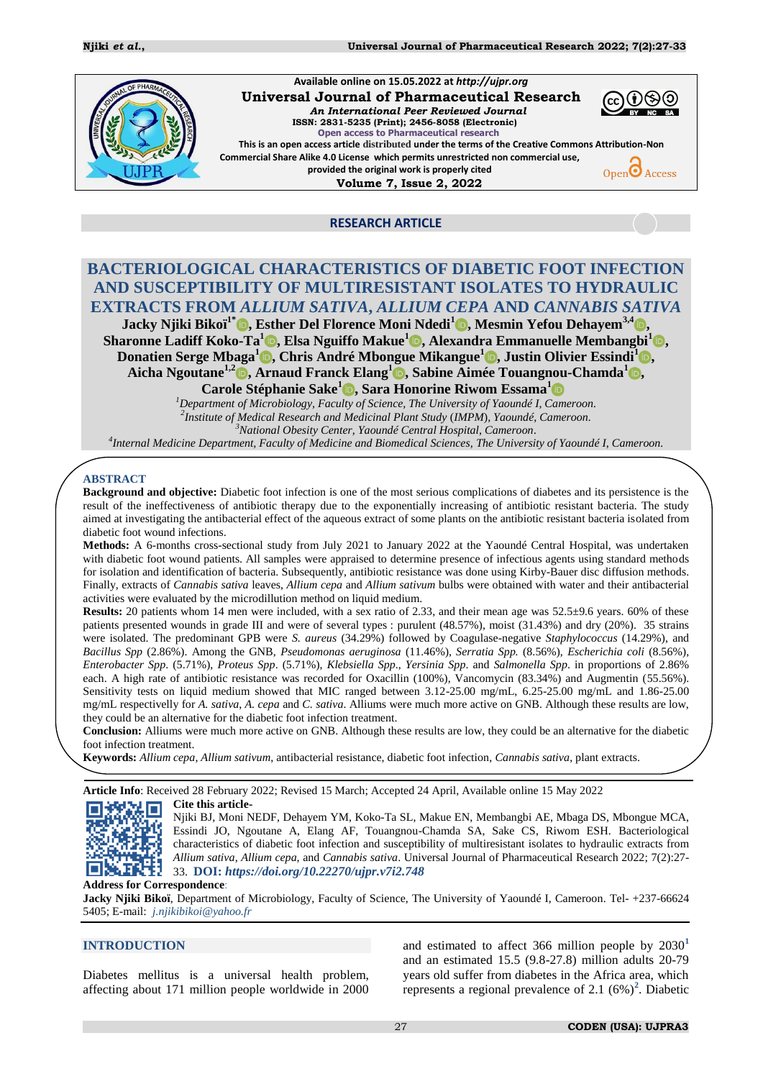

### **RESEARCH ARTICLE**

# **BACTERIOLOGICAL CHARACTERISTICS OF DIABETIC FOOT INFECTION AND SUSCEPTIBILITY OF MULTIRESISTANT ISOLATES TO HYDRAULIC EXTRACTS FROM** *ALLIUM SATIVA***,** *ALLIUM CEPA* **AND** *CANNABIS SATIVA*

**Jacky Njiki Bikoï1\* , Esther Del Florence Moni Ndedi<sup>1</sup> , Mesmin Yefou Dehayem3,4 , Sharonne Ladiff Koko-Ta<sup>1</sup> , Elsa Nguiffo Makue<sup>1</sup> , Alexandra Emmanuelle Membangbi<sup>1</sup> , Donatien Serge Mbaga<sup>1</sup> , Chris André Mbongue Mikangue<sup>1</sup> , Justin Olivier Essindi<sup>1</sup> , Aicha Ngoutane1,2 , Arnaud Franck Elang<sup>1</sup> , Sabine Aimée Touangnou-Chamda<sup>1</sup> ,** 

**Carole Stéphanie Sake<sup>1</sup> , Sara Honorine Riwom Essama<sup>1</sup>**

*<sup>1</sup>Department of Microbiology, Faculty of Science, The University of Yaoundé I, Cameroon. 2 Institute of Medical Research and Medicinal Plant Study* (*IMPM*)*, Yaoundé, Cameroon. <sup>3</sup>National Obesity Center, Yaoundé Central Hospital, Cameroon.*

*4 Internal Medicine Department, Faculty of Medicine and Biomedical Sciences, The University of Yaoundé I, Cameroon.*

#### **ABSTRACT**

**Background and objective:** Diabetic foot infection is one of the most serious complications of diabetes and its persistence is the result of the ineffectiveness of antibiotic therapy due to the exponentially increasing of antibiotic resistant bacteria. The study aimed at investigating the antibacterial effect of the aqueous extract of some plants on the antibiotic resistant bacteria isolated from diabetic foot wound infections.

**Methods:** A 6-months cross-sectional study from July 2021 to January 2022 at the Yaoundé Central Hospital, was undertaken with diabetic foot wound patients. All samples were appraised to determine presence of infectious agents using standard methods for isolation and identification of bacteria. Subsequently, antibiotic resistance was done using Kirby-Bauer disc diffusion methods. Finally, extracts of *Cannabis sativa* leaves, *Allium cepa* and *Allium sativum* bulbs were obtained with water and their antibacterial activities were evaluated by the microdillution method on liquid medium.

**Results:** 20 patients whom 14 men were included, with a sex ratio of 2.33, and their mean age was  $52.5\pm9.6$  years. 60% of these patients presented wounds in grade III and were of several types : purulent (48.57%), moist (31.43%) and dry (20%). 35 strains were isolated. The predominant GPB were *S. aureus* (34.29%) followed by Coagulase-negative *Staphylococcus* (14.29%), and *Bacillus Spp* (2.86%). Among the GNB, *Pseudomonas aeruginosa* (11.46%), *Serratia Spp.* (8.56%), *Escherichia coli* (8.56%), *Enterobacter Spp*. (5.71%), *Proteus Spp*. (5.71%), *Klebsiella Spp*., *Yersinia Spp*. and *Salmonella Spp*. in proportions of 2.86% each. A high rate of antibiotic resistance was recorded for Oxacillin (100%), Vancomycin (83.34%) and Augmentin (55.56%). Sensitivity tests on liquid medium showed that MIC ranged between 3.12-25.00 mg/mL, 6.25-25.00 mg/mL and 1.86-25.00 mg/mL respectivelly for *A. sativa*, *A. cepa* and *C. sativa*. Alliums were much more active on GNB. Although these results are low, they could be an alternative for the diabetic foot infection treatment.

**Conclusion:** Alliums were much more active on GNB. Although these results are low, they could be an alternative for the diabetic foot infection treatment.

**Keywords:** *Allium cepa*, *Allium sativum*, antibacterial resistance, diabetic foot infection, *Cannabis sativa*, plant extracts.

**Article Info**: Received 28 February 2022; Revised 15 March; Accepted 24 April, Available online 15 May 2022

#### **Cite this article-**

Njiki BJ, Moni NEDF, Dehayem YM, Koko-Ta SL, Makue EN, Membangbi AE, Mbaga DS, Mbongue MCA, 数数 Essindi JO, Ngoutane A, Elang AF, Touangnou-Chamda SA, Sake CS, Riwom ESH. Bacteriological characteristics of diabetic foot infection and susceptibility of multiresistant isolates to hydraulic extracts from *Allium sativa, Allium cepa*, and *Cannabis sativa*. Universal Journal of Pharmaceutical Research 2022; 7(2):27- 33. **DOI:** *<https://doi.org/10.22270/ujpr.v7i2.748>*

#### **Address for Correspondence**:

Jacky Njiki Bikoï, Department of Microbiology, Faculty of Science, The University of Yaoundé I, Cameroon. Tel- +237-66624 5405; E-mail: *[j.njikibikoi@yahoo.fr](mailto:j.njikibikoi@yahoo.fr)*

#### **INTRODUCTION**

Diabetes mellitus is a universal health problem, affecting about 171 million people worldwide in 2000 and estimated to affect 366 million people by 203[0](#page-6-0)**<sup>1</sup>** and an estimated 15.5 (9.8-27.8) million adults 20-79 years old suffer from diabetes in the Africa area, which represents a regional prevalence of 2.1  $(6\%)^2$ [.](#page-6-1) Diabetic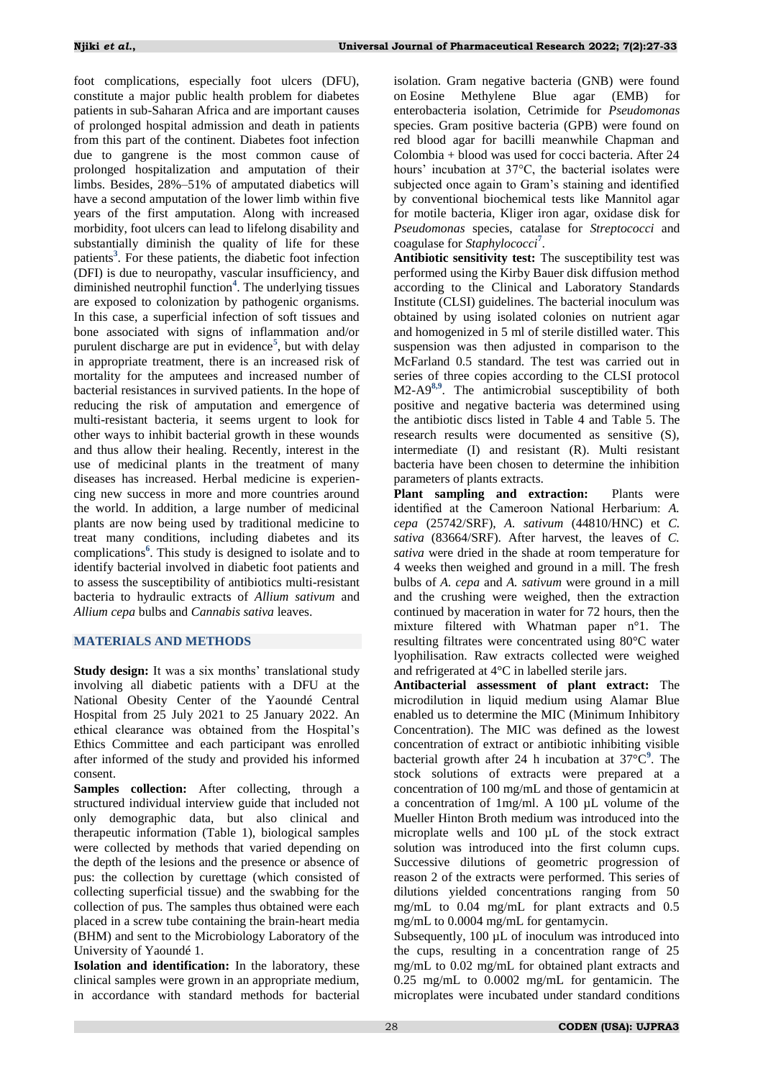foot complications, especially foot ulcers (DFU), constitute a major public health problem for diabetes patients in sub-Saharan Africa and are important causes of prolonged hospital admission and death in patients from this part of the continent. Diabetes foot infection due to gangrene is the most common cause of prolonged hospitalization and amputation of their limbs. Besides, 28%–51% of amputated diabetics will have a second amputation of the lower limb within five years of the first amputation. Along with increased morbidity, foot ulcers can lead to lifelong disability and substantially diminish the quality of life for these patient[s](#page-6-2)**<sup>3</sup>** . For these patients, the diabetic foot infection (DFI) is due to neuropathy, vascular insufficiency, and diminished neutrophil functio[n](#page-6-3)**<sup>4</sup>** . The underlying tissues are exposed to colonization by pathogenic organisms. In this case, a superficial infection of soft tissues and bone associated with signs of inflammation and/or purulent discharge are put in evidence**<sup>5</sup>** [,](#page-6-4) but with delay in appropriate treatment, there is an increased risk of mortality for the amputees and increased number of bacterial resistances in survived patients. In the hope of reducing the risk of amputation and emergence of multi-resistant bacteria, it seems urgent to look for other ways to inhibit bacterial growth in these wounds and thus allow their healing. Recently, interest in the use of medicinal plants in the treatment of many diseases has increased. Herbal medicine is experiencing new success in more and more countries around the world. In addition, a large number of medicinal plants are now being used by traditional medicine to treat many conditions, including diabetes and its complication[s](#page-6-5)**<sup>6</sup>** . This study is designed to isolate and to identify bacterial involved in diabetic foot patients and to assess the susceptibility of antibiotics multi-resistant bacteria to hydraulic extracts of *Allium sativum* and *Allium cepa* bulbs and *Cannabis sativa* leaves.

# **MATERIALS AND METHODS**

**Study design:** It was a six months' translational study involving all diabetic patients with a DFU at the National Obesity Center of the Yaoundé Central Hospital from 25 July 2021 to 25 January 2022. An ethical clearance was obtained from the Hospital's Ethics Committee and each participant was enrolled after informed of the study and provided his informed consent.

**Samples collection:** After collecting, through a structured individual interview guide that included not only demographic data, but also clinical and therapeutic information (Table 1), biological samples were collected by methods that varied depending on the depth of the lesions and the presence or absence of pus: the collection by curettage (which consisted of collecting superficial tissue) and the swabbing for the collection of pus. The samples thus obtained were each placed in a screw tube containing the brain-heart media (BHM) and sent to the Microbiology Laboratory of the University of Yaoundé 1.

**Isolation and identification:** In the laboratory, these clinical samples were grown in an appropriate medium, in accordance with standard methods for bacterial

isolation. Gram negative bacteria (GNB) were found on Eosine Methylene Blue agar (EMB) for enterobacteria isolation, Cetrimide for *Pseudomonas* species. Gram positive bacteria (GPB) were found on red blood agar for bacilli meanwhile Chapman and Colombia + blood was used for cocci bacteria. After 24 hours' incubation at 37°C, the bacterial isolates were subjected once again to Gram's staining and identified by conventional biochemical tests like Mannitol agar for motile bacteria, Kliger iron agar, oxidase disk for *Pseudomonas* species, catalase for *Streptococci* and coagulase for *Staphylococc[i](#page-6-6)***<sup>7</sup>** .

**Antibiotic sensitivity test:** The susceptibility test was performed using the Kirby Bauer disk diffusion method according to the Clinical and Laboratory Standards Institute (CLSI) guidelines. The bacterial inoculum was obtained by using isolated colonies on nutrient agar and homogenized in 5 ml of sterile distilled water. This suspension was then adjusted in comparison to the McFarland 0.5 standard. The test was carried out in series of three copies according to the CLSI protocol M2-A9**[8,](#page-6-7)[9](#page-6-8)** . The antimicrobial susceptibility of both positive and negative bacteria was determined using the antibiotic discs listed in Table 4 and Table 5. The research results were documented as sensitive (S), intermediate (I) and resistant (R). Multi resistant bacteria have been chosen to determine the inhibition parameters of plants extracts.

**Plant sampling and extraction:** Plants were identified at the Cameroon National Herbarium: *A. cepa* (25742/SRF), *A. sativum* (44810/HNC) et *C. sativa* (83664/SRF). After harvest, the leaves of *C. sativa* were dried in the shade at room temperature for 4 weeks then weighed and ground in a mill. The fresh bulbs of *A. cepa* and *A. sativum* were ground in a mill and the crushing were weighed, then the extraction continued by maceration in water for 72 hours, then the mixture filtered with Whatman paper n°1. The resulting filtrates were concentrated using 80°C water lyophilisation. Raw extracts collected were weighed and refrigerated at 4°C in labelled sterile jars.

**Antibacterial assessment of plant extract:** The microdilution in liquid medium using Alamar Blue enabled us to determine the MIC (Minimum Inhibitory Concentration). The MIC was defined as the lowest concentration of extract or antibiotic inhibiting visible bacterial growth after 24 h incubation at 37°C**<sup>9</sup>** [.](#page-6-8) The stock solutions of extracts were prepared at a concentration of 100 mg/mL and those of gentamicin at a concentration of 1mg/ml. A 100 µL volume of the Mueller Hinton Broth medium was introduced into the microplate wells and 100 µL of the stock extract solution was introduced into the first column cups. Successive dilutions of geometric progression of reason 2 of the extracts were performed. This series of dilutions yielded concentrations ranging from 50 mg/mL to 0.04 mg/mL for plant extracts and 0.5 mg/mL to 0.0004 mg/mL for gentamycin.

Subsequently, 100  $\mu$ L of inoculum was introduced into the cups, resulting in a concentration range of 25 mg/mL to 0.02 mg/mL for obtained plant extracts and 0.25 mg/mL to 0.0002 mg/mL for gentamicin. The microplates were incubated under standard conditions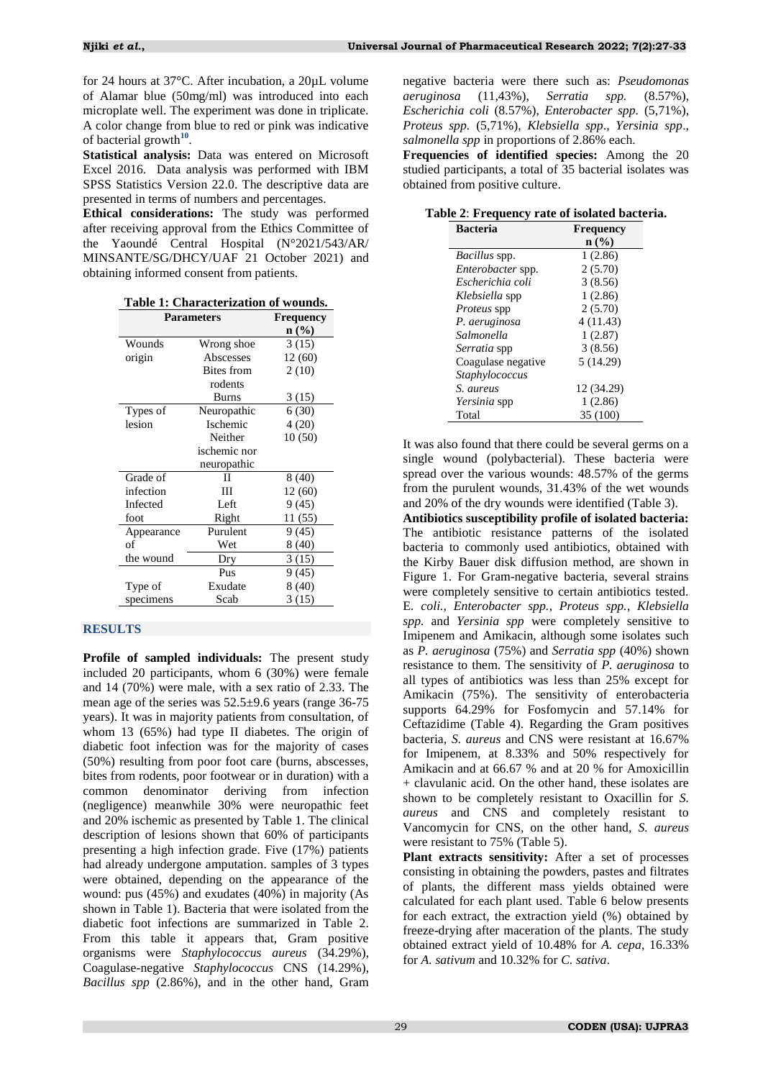for 24 hours at 37°C. After incubation, a 20µL volume of Alamar blue (50mg/ml) was introduced into each microplate well. The experiment was done in triplicate. A color change from blue to red or pink was indicative of bacterial growth**[10](#page-6-9)** .

**Statistical analysis:** Data was entered on Microsoft Excel 2016. Data analysis was performed with IBM SPSS Statistics Version 22.0. The descriptive data are presented in terms of numbers and percentages.

**Ethical considerations:** The study was performed after receiving approval from the Ethics Committee of the Yaoundé Central Hospital (N°2021/543/AR/ MINSANTE/SG/DHCY/UAF 21 October 2021) and obtaining informed consent from patients.

| Table 1: Characterization of wounds. |  |
|--------------------------------------|--|
|                                      |  |

| <b>Parameters</b> | <b>Frequency</b> |         |  |  |  |  |
|-------------------|------------------|---------|--|--|--|--|
|                   | n (%)            |         |  |  |  |  |
| Wounds            | Wrong shoe       | 3(15)   |  |  |  |  |
| origin            | Abscesses        | 12 (60) |  |  |  |  |
|                   | Bites from       | 2(10)   |  |  |  |  |
|                   | rodents          |         |  |  |  |  |
|                   | <b>Burns</b>     | 3(15)   |  |  |  |  |
| Types of          | Neuropathic      | 6(30)   |  |  |  |  |
| lesion            | Ischemic         | 4(20)   |  |  |  |  |
|                   | Neither          | 10(50)  |  |  |  |  |
|                   | ischemic nor     |         |  |  |  |  |
|                   | neuropathic      |         |  |  |  |  |
| Grade of          | П                | 8(40)   |  |  |  |  |
| infection         | Ш                | 12(60)  |  |  |  |  |
| Infected          | Left             | 9 (45)  |  |  |  |  |
| foot              | Right            | 11 (55) |  |  |  |  |
| Appearance        | Purulent         | 9(45)   |  |  |  |  |
| of                | Wet              | 8 (40)  |  |  |  |  |
| the wound         | Dry              | 3(15)   |  |  |  |  |
|                   | Pus              | 9(45)   |  |  |  |  |
| Type of           | Exudate          | 8 (40)  |  |  |  |  |
| specimens         | Scab             | 3(15)   |  |  |  |  |

# **RESULTS**

**Profile of sampled individuals:** The present study included 20 participants, whom 6 (30%) were female and 14 (70%) were male, with a sex ratio of 2.33. The mean age of the series was 52.5±9.6 years (range 36-75 years). It was in majority patients from consultation, of whom 13 (65%) had type II diabetes. The origin of diabetic foot infection was for the majority of cases (50%) resulting from poor foot care (burns, abscesses, bites from rodents, poor footwear or in duration) with a common denominator deriving from infection (negligence) meanwhile 30% were neuropathic feet and 20% ischemic as presented by Table 1. The clinical description of lesions shown that 60% of participants presenting a high infection grade. Five (17%) patients had already undergone amputation. samples of 3 types were obtained, depending on the appearance of the wound: pus (45%) and exudates (40%) in majority (As shown in Table 1). Bacteria that were isolated from the diabetic foot infections are summarized in Table 2. From this table it appears that, Gram positive organisms were *Staphylococcus aureus* (34.29%), Coagulase-negative *Staphylococcus* CNS (14.29%), *Bacillus spp* (2.86%), and in the other hand, Gram

negative bacteria were there such as: *Pseudomonas aeruginosa* (11,43%), *Serratia spp.* (8.57%), *Escherichia coli* (8.57%), *Enterobacter spp.* (5,71%), *Proteus spp.* (5,71%), *Klebsiella spp*., *Yersinia spp*., *salmonella spp* in proportions of 2.86% each.

**Frequencies of identified species:** Among the 20 studied participants, a total of 35 bacterial isolates was obtained from positive culture.

|  |  |  |  |  | Table 2: Frequency rate of isolated bacteria. |  |  |
|--|--|--|--|--|-----------------------------------------------|--|--|
|--|--|--|--|--|-----------------------------------------------|--|--|

| <b>Bacteria</b>       | Frequency        |
|-----------------------|------------------|
|                       | $\mathbf{n}(\%)$ |
| Bacillus spp.         | 1(2.86)          |
| Enterobacter spp.     | 2(5.70)          |
| Escherichia coli      | 3(8.56)          |
| Klebsiella spp        | 1(2.86)          |
| <i>Proteus</i> spp    | 2(5.70)          |
| P. aeruginosa         | 4 (11.43)        |
| Salmonella            | 1(2.87)          |
| <i>Serratia</i> spp   | 3(8.56)          |
| Coagulase negative    | 5(14.29)         |
| <i>Staphylococcus</i> |                  |
| S. aureus             | 12 (34.29)       |
| <i>Yersinia</i> spp   | 1(2.86)          |
| Total                 | 35 (100)         |

It was also found that there could be several germs on a single wound (polybacterial). These bacteria were spread over the various wounds: 48.57% of the germs from the purulent wounds, 31.43% of the wet wounds and 20% of the dry wounds were identified (Table 3).

**Antibiotics susceptibility profile of isolated bacteria:** The antibiotic resistance patterns of the isolated bacteria to commonly used antibiotics, obtained with the Kirby Bauer disk diffusion method, are shown in Figure 1. For Gram-negative bacteria, several strains were completely sensitive to certain antibiotics tested. E*. coli.*, *Enterobacter spp.*, *Proteus spp.*, *Klebsiella spp.* and *Yersinia spp* were completely sensitive to Imipenem and Amikacin, although some isolates such as *P. aeruginosa* (75%) and *Serratia spp* (40%) shown resistance to them. The sensitivity of *P. aeruginosa* to all types of antibiotics was less than 25% except for Amikacin (75%). The sensitivity of enterobacteria supports 64.29% for Fosfomycin and 57.14% for Ceftazidime (Table 4). Regarding the Gram positives bacteria, *S. aureus* and CNS were resistant at 16.67% for Imipenem, at 8.33% and 50% respectively for Amikacin and at 66.67 % and at 20 % for Amoxicillin + clavulanic acid. On the other hand, these isolates are shown to be completely resistant to Oxacillin for *S. aureus* and CNS and completely resistant to Vancomycin for CNS, on the other hand, *S. aureus* were resistant to 75% (Table 5).

**Plant extracts sensitivity:** After a set of processes consisting in obtaining the powders, pastes and filtrates of plants, the different mass yields obtained were calculated for each plant used. Table 6 below presents for each extract, the extraction yield (%) obtained by freeze-drying after maceration of the plants. The study obtained extract yield of 10.48% for *A. cepa*, 16.33% for *A. sativum* and 10.32% for *C. sativa*.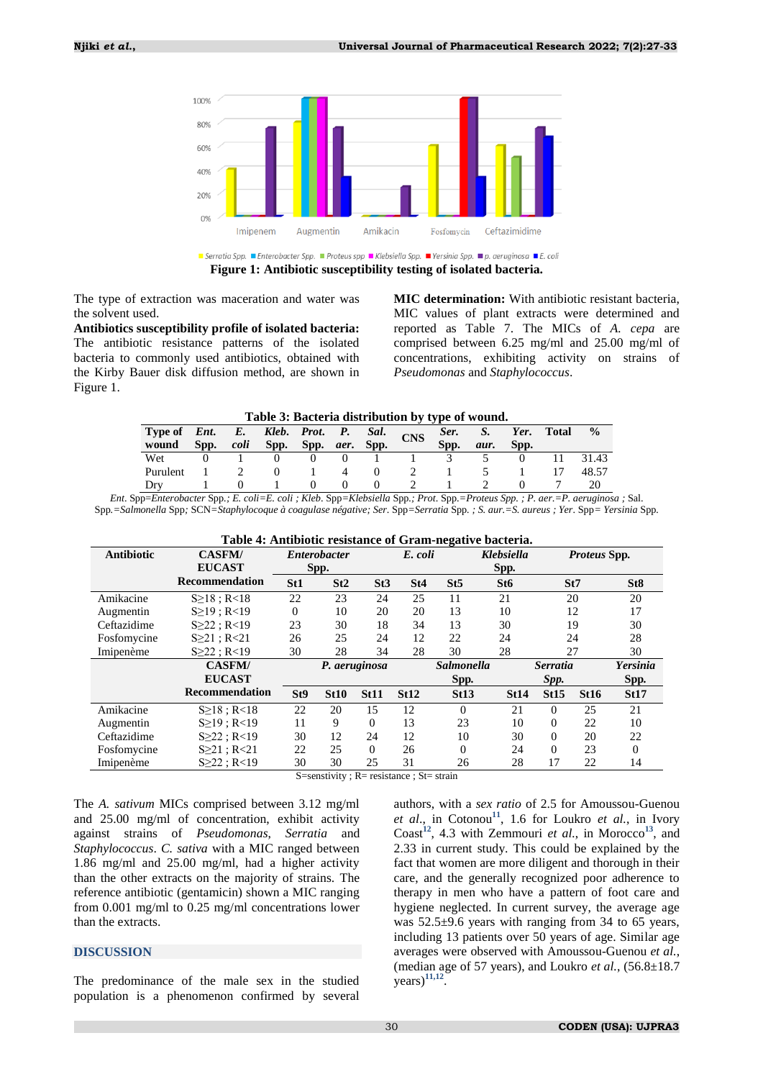

**Figure 1: Antibiotic susceptibility testing of isolated bacteria.**

The type of extraction was maceration and water was the solvent used.

**Antibiotics susceptibility profile of isolated bacteria:** The antibiotic resistance patterns of the isolated bacteria to commonly used antibiotics, obtained with the Kirby Bauer disk diffusion method, are shown in Figure 1.

**MIC determination:** With antibiotic resistant bacteria, MIC values of plant extracts were determined and reported as Table 7. The MICs of *A. cepa* are comprised between 6.25 mg/ml and 25.00 mg/ml of concentrations, exhibiting activity on strains of *Pseudomonas* and *Staphylococcus*.

**Table 3: Bacteria distribution by type of wound.**

| Type of <i>Ent.</i> E. <i>Kleb. Prot. P. Sal.</i> CNS<br>wound | Spp. | coli | Spp. Spp. <i>aer</i> . Spp. |  |  | Ser.<br>Spp. | S.<br>aur. | Spp. | Yer. Total | $\frac{0}{0}$ |
|----------------------------------------------------------------|------|------|-----------------------------|--|--|--------------|------------|------|------------|---------------|
| Wet                                                            |      |      |                             |  |  |              |            |      |            | 31.43         |
| Purulent                                                       |      |      |                             |  |  |              |            |      |            | 48.57         |
| Dry                                                            |      |      |                             |  |  |              |            |      |            |               |

*Ent*. Spp=*Enterobacter* Spp*.; E. coli=E. coli ; Kleb*. Spp*=Klebsiella* Spp*.; Prot*. Spp.*=Proteus Spp. ; P. aer*.*=P. aeruginosa ;* Sal. Spp*.=Salmonella* Spp*;* SCN*=Staphylocoque à coagulase négative; Ser*. Spp*=Serratia* Spp*. ; S. aur.=S. aureus ; Yer*. Spp*= Yersinia* Spp*.*

| Table 4: Antibiotic resistance of Gram-negative bacteria. |                       |                 |                     |               |                              |                   |                 |                     |             |                 |
|-----------------------------------------------------------|-----------------------|-----------------|---------------------|---------------|------------------------------|-------------------|-----------------|---------------------|-------------|-----------------|
| <b>Antibiotic</b>                                         | <b>CASFM/</b>         |                 | <i>Enterobacter</i> |               | <b>Klebsiella</b><br>E. coli |                   |                 | <i>Proteus</i> Spp. |             |                 |
|                                                           | <b>EUCAST</b>         |                 | Spp.                |               |                              |                   | Spp.            |                     |             |                 |
|                                                           | Recommendation        | St <sub>1</sub> | St2                 | St3           | St4                          | St5               | St <sub>6</sub> |                     | St7         | St <sub>8</sub> |
| Amikacine                                                 | S>18: R<18            | 22              | 23                  | 24            | 25                           | 11                | 21              |                     | 20          | 20              |
| Augmentin                                                 | S>19: R<19            | $\overline{0}$  | 10                  | 20            | 20                           | 13                | 10              |                     | 12          | 17              |
| Ceftazidime                                               | $S \geq 22$ ; R<19    | 23              | 30                  | 18            | 34                           | 13                | 30              |                     | 19          | 30              |
| Fosfomycine                                               | $S \geq 21$ ; R<21    | 26              | 25                  | 24            | 12                           | 22                | 24              |                     | 24          | 28              |
| Imipenème                                                 | $S \geq 22$ ; R<19    | 30              | 28                  | 34            | 28                           | 30                | 28              | 27                  |             | 30              |
|                                                           | <b>CASFM/</b>         |                 |                     | P. aeruginosa |                              | <b>Salmonella</b> |                 | <b>Serratia</b>     |             | Yersinia        |
|                                                           | <b>EUCAST</b>         |                 |                     |               |                              | Spp.              |                 | Spp.                |             | Spp.            |
|                                                           | <b>Recommendation</b> | St <sub>9</sub> | <b>St10</b>         | <b>St11</b>   | <b>St12</b>                  | <b>St13</b>       | <b>St14</b>     | St15                | <b>St16</b> | <b>St17</b>     |
| Amikacine                                                 | $S \ge 18$ ; R<18     | 22              | 20                  | 15            | 12                           | $\Omega$          | 21              | $\Omega$            | 25          | 21              |
| Augmentin                                                 | S>19: R<19            | 11              | 9                   | $\Omega$      | 13                           | 23                | 10              | $\Omega$            | 22          | 10              |
| Ceftazidime                                               | $S \geq 22$ ; R<19    | 30              | 12                  | 24            | 12                           | 10                | 30              | $\Omega$            | 20          | 22              |
| Fosfomycine                                               | $S \geq 21$ ; R<21    | 22              | 25                  | $\Omega$      | 26                           | $\Omega$          | 24              | $\Omega$            | 23          | 0               |
| Imipenème                                                 | $S \geq 22$ ; R<19    | 30              | 30                  | 25            | 31                           | 26                | 28              | 17                  | 22          | 14              |

S=senstivity ; R= resistance ; St= strain

The *A. sativum* MICs comprised between 3.12 mg/ml and 25.00 mg/ml of concentration, exhibit activity against strains of *Pseudomonas*, *Serratia* and *Staphylococcus*. *C. sativa* with a MIC ranged between 1.86 mg/ml and 25.00 mg/ml, had a higher activity than the other extracts on the majority of strains. The reference antibiotic (gentamicin) shown a MIC ranging from 0.001 mg/ml to 0.25 mg/ml concentrations lower than the extracts.

#### **DISCUSSION**

The predominance of the male sex in the studied population is a phenomenon confirmed by several

authors, with a *sex ratio* of 2.5 for Amoussou-Guenou et al., in Cotonou<sup>[11](#page-6-10)</sup>, 1.6 for Loukro *et al.*, in Ivory Coast**[12](#page-6-11)**, 4.3 with Zemmouri *et al.*, in Morocco**[13](#page-6-12)**, and 2.33 in current study. This could be explained by the fact that women are more diligent and thorough in their care, and the generally recognized poor adherence to therapy in men who have a pattern of foot care and hygiene neglected. In current survey, the average age was 52.5±9.6 years with ranging from 34 to 65 years, including 13 patients over 50 years of age. Similar age averages were observed with Amoussou-Guenou *et al.*, (median age of 57 years), and Loukro *et al.*, (56.8±18.7 years)**[11,](#page-6-10)[12](#page-6-11)** .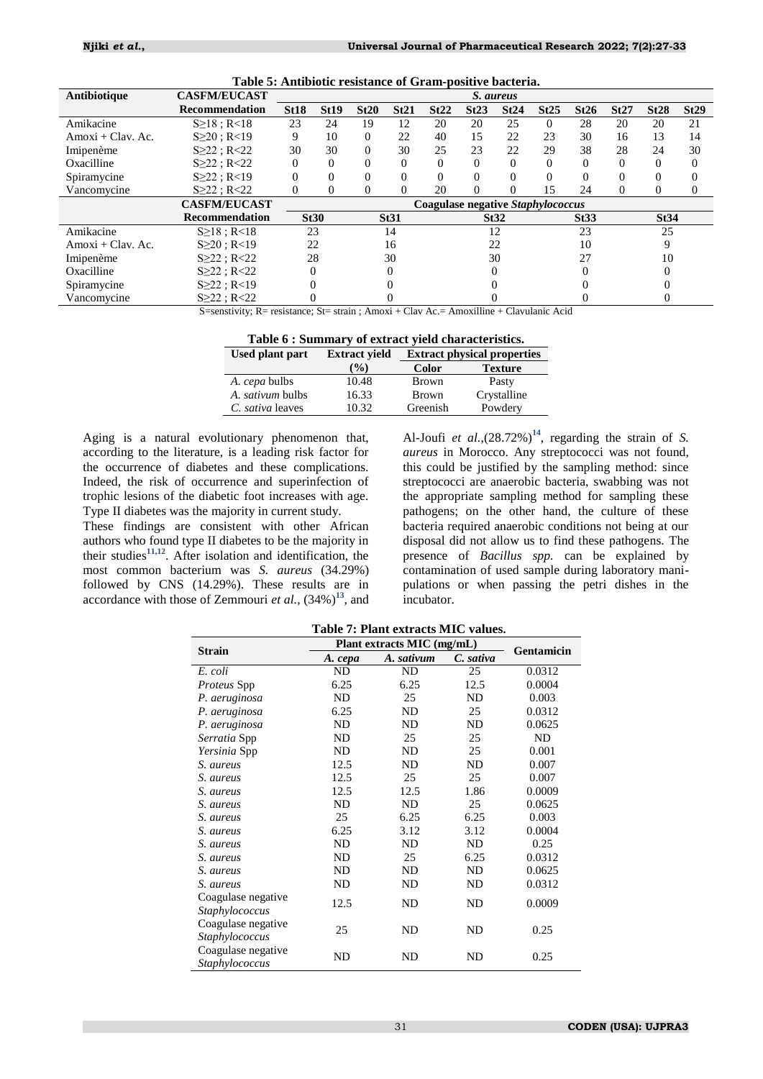| Antibiotique        | <b>CASFM/EUCAST</b> |             |             |          |             |                                          | S. aureus |          |          |          |          |             |          |
|---------------------|---------------------|-------------|-------------|----------|-------------|------------------------------------------|-----------|----------|----------|----------|----------|-------------|----------|
|                     | Recommendation      | <b>St18</b> | <b>St19</b> | St20     | St21        | St22                                     | St23      | St24     | St25     | St26     | St27     | <b>St28</b> | St29     |
| Amikacine           | $S \ge 18$ ; R<18   | 23          | 24          | 19       | 12          | 20                                       | 20        | 25       | $\Omega$ | 28       | 20       | 20          | 21       |
| $Amoxi + Clav.$ Ac. | $S \geq 20$ ; R<19  | 9           | 10          | 0        | 22          | 40                                       | 15        | 22       | 23       | 30       | 16       | 13          | 14       |
| Imipenème           | S > 22 : R < 22     | 30          | 30          | $\Omega$ | 30          | 25                                       | 23        | 22       | 29       | 38       | 28       | 24          | 30       |
| Oxacilline          | $S \geq 22$ ; R<22  | $\Omega$    | 0           | 0        | 0           | $\Omega$                                 | $\Omega$  | $\Omega$ | $\Omega$ | $\theta$ | $\Omega$ | $\Omega$    | $\Omega$ |
| Spiramycine         | S > 22 : R < 19     |             |             | 0        |             |                                          |           |          | 0        | $\Omega$ | $\Omega$ |             |          |
| Vancomycine         | $S \geq 22$ ; R<22  |             |             | $\theta$ |             | 20                                       | $\Omega$  | 0        | 15       | 24       | $\Omega$ | 0           | $_{0}$   |
|                     | <b>CASFM/EUCAST</b> |             |             |          |             | <b>Coagulase negative Staphylococcus</b> |           |          |          |          |          |             |          |
|                     | Recommendation      |             | <b>St30</b> |          | <b>St31</b> |                                          | St32      |          |          | St33     |          | St34        |          |
| Amikacine           | S>18: R<18          | 23          |             |          | 14          |                                          |           | 12       |          | 23       |          | 25          |          |
| $Amoxi + Clav.$ Ac. | $S > 20$ : R<19     | 22          |             |          | 16          |                                          | 22        |          |          | 10       |          | 9           |          |
| Imipenème           | S > 22 : R < 22     | 28          |             |          | 30          |                                          | 30        |          |          | 27       |          | 10          |          |
| Oxacilline          | $S \geq 22$ ; R<22  |             |             |          |             |                                          |           |          |          |          |          |             |          |
| Spiramycine         | $S \geq 22$ ; R<19  |             |             |          |             |                                          |           |          |          |          |          |             |          |
| Vancomycine         | $S \geq 22$ ; R<22  |             |             |          |             |                                          |           |          |          |          |          |             |          |

**Table 5: Antibiotic resistance of Gram-positive bacteria.**

S=senstivity; R= resistance; St= strain ; Amoxi + Clav Ac.= Amoxilline + Clavulanic Acid

| Table 6 : Summary of extract yield characteristics. |  |
|-----------------------------------------------------|--|
|                                                     |  |

| <b>Used plant part</b>  | <b>Extract vield</b> | <b>Extract physical properties</b> |                |  |  |
|-------------------------|----------------------|------------------------------------|----------------|--|--|
|                         | $($ %)               | Color                              | <b>Texture</b> |  |  |
| A. <i>cepa</i> bulbs    | 10.48                | <b>Brown</b>                       | Pasty          |  |  |
| <i>A. sativum</i> bulbs | 16.33                | <b>Brown</b>                       | Crystalline    |  |  |
| C. sativa leaves        | 10.32                | Greenish                           | Powdery        |  |  |

Aging is a natural evolutionary phenomenon that, according to the literature, is a leading risk factor for the occurrence of diabetes and these complications. Indeed, the risk of occurrence and superinfection of trophic lesions of the diabetic foot increases with age. Type II diabetes was the majority in current study.

These findings are consistent with other African authors who found type II diabetes to be the majority in their studies**[11,](#page-6-10)[12](#page-6-11)** . After isolation and identification, the most common bacterium was *S. aureus* (34.29%) followed by CNS (14.29%). These results are in accordance with those of Zemmouri *et al.*,  $(34\%)^{13}$  $(34\%)^{13}$  $(34\%)^{13}$ , and

Al-Joufi *et al.*, $(28.72%)^{14}$  $(28.72%)^{14}$  $(28.72%)^{14}$ , regarding the strain of *S*. *aureus* in Morocco. Any streptococci was not found, this could be justified by the sampling method: since streptococci are anaerobic bacteria, swabbing was not the appropriate sampling method for sampling these pathogens; on the other hand, the culture of these bacteria required anaerobic conditions not being at our disposal did not allow us to find these pathogens. The presence of *Bacillus spp.* can be explained by contamination of used sample during laboratory manipulations or when passing the petri dishes in the incubator.

|  | Table 7: Plant extracts MIC values. |  |
|--|-------------------------------------|--|
|  |                                     |  |

| <b>Strain</b>      | Plant extracts MIC (mg/mL) | Gentamicin |           |        |
|--------------------|----------------------------|------------|-----------|--------|
|                    | A. cepa                    | A. sativum | C. sativa |        |
| E. coli            | ND                         | ND         | 25        | 0.0312 |
| <i>Proteus</i> Spp | 6.25                       | 6.25       | 12.5      | 0.0004 |
| P. aeruginosa      | ND                         | 25         | ND        | 0.003  |
| P. aeruginosa      | 6.25                       | ND         | 25        | 0.0312 |
| P. aeruginosa      | ND                         | ND         | ND        | 0.0625 |
| Serratia Spp       | ND                         | 25         | 25        | ND     |
| Yersinia Spp       | ND                         | ND         | 25        | 0.001  |
| S. aureus          | 12.5                       | ND         | ND        | 0.007  |
| S. aureus          | 12.5                       | 25         | 25        | 0.007  |
| S. aureus          | 12.5                       | 12.5       | 1.86      | 0.0009 |
| S. aureus          | ND                         | ND         | 25        | 0.0625 |
| S. aureus          | 25                         | 6.25       | 6.25      | 0.003  |
| S. aureus          | 6.25                       | 3.12       | 3.12      | 0.0004 |
| S. aureus          | ND                         | ND         | ND        | 0.25   |
| S. aureus          | ND                         | 25         | 6.25      | 0.0312 |
| S. aureus          | ND                         | ND         | ND        | 0.0625 |
| S. aureus          | ND                         | ND         | ND        | 0.0312 |
| Coagulase negative | 12.5                       | ND         | ND        | 0.0009 |
| Staphylococcus     |                            |            |           |        |
| Coagulase negative | 25                         | ND         | ND        | 0.25   |
| Staphylococcus     |                            |            |           |        |
| Coagulase negative | ND                         | ND         | ND        | 0.25   |
| Staphylococcus     |                            |            |           |        |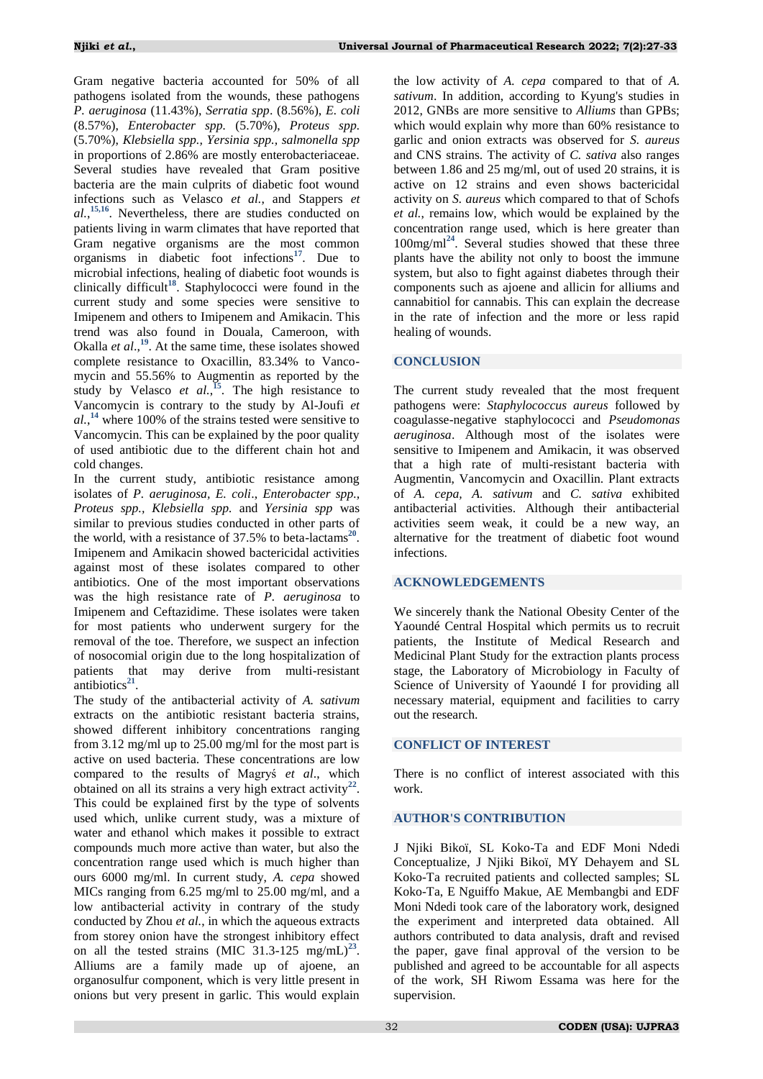Gram negative bacteria accounted for 50% of all pathogens isolated from the wounds, these pathogens *P. aeruginosa* (11.43%), *Serratia spp*. (8.56%), *E. coli* (8.57%), *Enterobacter spp.* (5.70%), *Proteus spp.* (5.70%), *Klebsiella spp., Yersinia spp., salmonella spp* in proportions of 2.86% are mostly enterobacteriaceae. Several studies have revealed that Gram positive bacteria are the main culprits of diabetic foot wound infections such as Velasco *et al.*, and Stappers *et al.*, **[15,](#page-6-14)[16](#page-6-15)**. Nevertheless, there are studies conducted on patients living in warm climates that have reported that Gram negative organisms are the most common organisms in diabetic foot infections**[17](#page-6-16)**. Due to microbial infections, healing of diabetic foot wounds is clinically difficult**[18](#page-6-17)**. Staphylococci were found in the current study and some species were sensitive to Imipenem and others to Imipenem and Amikacin. This trend was also found in Douala, Cameroon, with Okalla *et al.*,<sup>[19](#page-6-18)</sup>. At the same time, these isolates showed complete resistance to Oxacillin, 83.34% to Vancomycin and 55.56% to Augmentin as reported by the study by Velasco *et al.*<sup>[15](#page-6-14)</sup>. The high resistance to Vancomycin is contrary to the study by Al-Joufi *et al.*, **[14](#page-6-13)** where 100% of the strains tested were sensitive to Vancomycin. This can be explained by the poor quality of used antibiotic due to the different chain hot and cold changes.

In the current study, antibiotic resistance among isolates of *P. aeruginosa, E. coli*., *Enterobacter spp., Proteus spp., Klebsiella spp.* and *Yersinia spp* was similar to previous studies conducted in other parts of the world, with a resistance of 37.5% to beta-lactams<sup>[20](#page-6-19)</sup>. Imipenem and Amikacin showed bactericidal activities against most of these isolates compared to other antibiotics. One of the most important observations was the high resistance rate of *P. aeruginosa* to Imipenem and Ceftazidime. These isolates were taken for most patients who underwent surgery for the removal of the toe. Therefore, we suspect an infection of nosocomial origin due to the long hospitalization of patients that may derive from multi-resistant antibiotics<sup>[21](#page-6-20)</sup>.

The study of the antibacterial activity of *A. sativum* extracts on the antibiotic resistant bacteria strains, showed different inhibitory concentrations ranging from 3.12 mg/ml up to 25.00 mg/ml for the most part is active on used bacteria. These concentrations are low compared to the results of Magryś *et al*., which obtained on all its strains a very high extract activity<sup>[22](#page-6-21)</sup>. This could be explained first by the type of solvents used which, unlike current study, was a mixture of water and ethanol which makes it possible to extract compounds much more active than water, but also the concentration range used which is much higher than ours 6000 mg/ml. In current study, *A. cepa* showed MICs ranging from 6.25 mg/ml to 25.00 mg/ml, and a low antibacterial activity in contrary of the study conducted by Zhou *et al.*, in which the aqueous extracts from storey onion have the strongest inhibitory effect on all the tested strains  $(MIC\ 31.3-125\ mg/mL)^{23}$  $(MIC\ 31.3-125\ mg/mL)^{23}$  $(MIC\ 31.3-125\ mg/mL)^{23}$ . Alliums are a family made up of ajoene, an organosulfur component, which is very little present in onions but very present in garlic. This would explain

the low activity of *A. cepa* compared to that of *A. sativum*. In addition, according to Kyung's studies in 2012, GNBs are more sensitive to *Alliums* than GPBs; which would explain why more than 60% resistance to garlic and onion extracts was observed for *S. aureus* and CNS strains. The activity of *C. sativa* also ranges between 1.86 and 25 mg/ml, out of used 20 strains, it is active on 12 strains and even shows bactericidal activity on *S. aureus* which compared to that of Schofs *et al.*, remains low, which would be explained by the concentration range used, which is here greater than 100mg/ml**[24](#page-6-23)**. Several studies showed that these three plants have the ability not only to boost the immune system, but also to fight against diabetes through their components such as ajoene and allicin for alliums and cannabitiol for cannabis. This can explain the decrease in the rate of infection and the more or less rapid healing of wounds.

# **CONCLUSION**

The current study revealed that the most frequent pathogens were: *Staphylococcus aureus* followed by coagulasse-negative staphylococci and *Pseudomonas aeruginosa*. Although most of the isolates were sensitive to Imipenem and Amikacin, it was observed that a high rate of multi-resistant bacteria with Augmentin, Vancomycin and Oxacillin. Plant extracts of *A. cepa, A. sativum* and *C. sativa* exhibited antibacterial activities. Although their antibacterial activities seem weak, it could be a new way, an alternative for the treatment of diabetic foot wound infections.

# **ACKNOWLEDGEMENTS**

We sincerely thank the National Obesity Center of the Yaoundé Central Hospital which permits us to recruit patients, the Institute of Medical Research and Medicinal Plant Study for the extraction plants process stage, the Laboratory of Microbiology in Faculty of Science of University of Yaoundé I for providing all necessary material, equipment and facilities to carry out the research.

# **CONFLICT OF INTEREST**

There is no conflict of interest associated with this work.

# **AUTHOR'S CONTRIBUTION**

J Njiki Bikoï, SL Koko-Ta and EDF Moni Ndedi Conceptualize, J Njiki Bikoï, MY Dehayem and SL Koko-Ta recruited patients and collected samples; SL Koko-Ta, E Nguiffo Makue, AE Membangbi and EDF Moni Ndedi took care of the laboratory work, designed the experiment and interpreted data obtained. All authors contributed to data analysis, draft and revised the paper, gave final approval of the version to be published and agreed to be accountable for all aspects of the work, SH Riwom Essama was here for the supervision.